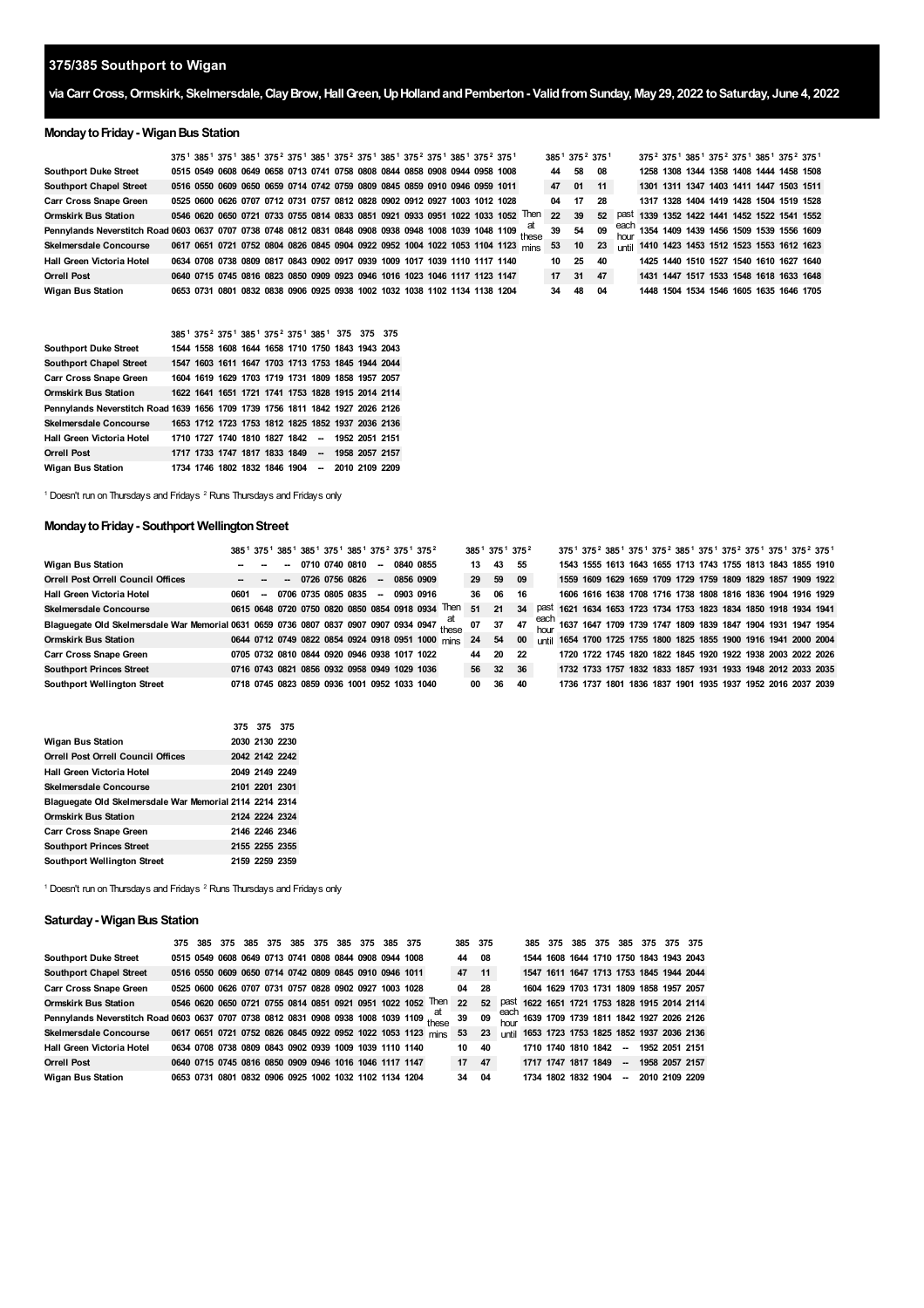# **375/385 Southport to Wigan**

# **via Carr Cross,Ormskirk, Skelmersdale,ClayBrow,HallGreen,UpHollandandPemberton- ValidfromSunday, May29, 2022 toSaturday, June 4, 2022**

# **Monday to Friday - Wigan Bus Station**

|                                                                                                              |  |  |  | 375 <sup>1</sup> 385 <sup>1</sup> 375 <sup>1</sup> 385 <sup>1</sup> 375 <sup>2</sup> 375 <sup>1</sup> 385 <sup>1</sup> 375 <sup>2</sup> 375 <sup>1</sup> 385 <sup>1</sup> 375 <sup>2</sup> 375 <sup>1</sup> 385 <sup>1</sup> 375 <sup>2</sup> 375 <sup>1</sup> |  |  |  |                                                                                 |    |    | 385 <sup>1</sup> 375 <sup>2</sup> 375 <sup>1</sup> | 375 <sup>2</sup> 375 <sup>1</sup> 385 <sup>1</sup> 375 <sup>2</sup> 375 <sup>1</sup> 385 <sup>1</sup> 375 <sup>2</sup> 375 <sup>1</sup> |  |  |  |                                                      |
|--------------------------------------------------------------------------------------------------------------|--|--|--|----------------------------------------------------------------------------------------------------------------------------------------------------------------------------------------------------------------------------------------------------------------|--|--|--|---------------------------------------------------------------------------------|----|----|----------------------------------------------------|-----------------------------------------------------------------------------------------------------------------------------------------|--|--|--|------------------------------------------------------|
| <b>Southport Duke Street</b>                                                                                 |  |  |  | 0515 0549 0608 0649 0658 0713 0741 0758 0808 0844 0858 0908 0944 0958 1008                                                                                                                                                                                     |  |  |  |                                                                                 | 44 | 58 | - 08                                               |                                                                                                                                         |  |  |  | 1258 1308 1344 1358 1408 1444 1458 1508              |
| <b>Southport Chapel Street</b>                                                                               |  |  |  | 0516 0550 0609 0650 0659 0714 0742 0759 0809 0845 0859 0910 0946 0959 1011                                                                                                                                                                                     |  |  |  |                                                                                 | 47 | 01 | 11                                                 | 1301 1311 1347 1403 1411 1447 1503 1511                                                                                                 |  |  |  |                                                      |
| <b>Carr Cross Snape Green</b>                                                                                |  |  |  | 0525 0600 0626 0707 0712 0731 0757 0812 0828 0902 0912 0927 1003 1012 1028                                                                                                                                                                                     |  |  |  |                                                                                 | 04 | 17 | 28                                                 | 1317 1328 1404 1419 1428 1504 1519 1528                                                                                                 |  |  |  |                                                      |
| <b>Ormskirk Bus Station</b>                                                                                  |  |  |  |                                                                                                                                                                                                                                                                |  |  |  | 0546 0620 0650 0721 0733 0755 0814 0833 0851 0921 0933 0951 1022 1033 1052 Then | 22 | 39 | 52                                                 |                                                                                                                                         |  |  |  | past 1339 1352 1422 1441 1452 1522 1541 1552         |
| Pennylands Neverstitch Road 0603 0637 0707 0738 0748 0812 0831 0848 0908 0938 0948 1008 1039 1048 1109 these |  |  |  |                                                                                                                                                                                                                                                                |  |  |  |                                                                                 | 39 | 54 | 09                                                 |                                                                                                                                         |  |  |  | each<br>hour 1354 1409 1439 1456 1509 1539 1556 1609 |
| <b>Skelmersdale Concourse</b>                                                                                |  |  |  |                                                                                                                                                                                                                                                                |  |  |  | 0617 0651 0721 0752 0804 0826 0845 0904 0922 0952 1004 1022 1053 1104 1123 mins | 53 | 10 | 23                                                 |                                                                                                                                         |  |  |  | until 1410 1423 1453 1512 1523 1553 1612 1623        |
| Hall Green Victoria Hotel                                                                                    |  |  |  | 0634 0708 0738 0809 0817 0843 0902 0917 0939 1009 1017 1039 1110 1117 1140                                                                                                                                                                                     |  |  |  |                                                                                 | 10 | 25 | 40                                                 |                                                                                                                                         |  |  |  | 1425 1440 1510 1527 1540 1610 1627 1640              |
| <b>Orrell Post</b>                                                                                           |  |  |  | 0640 0715 0745 0816 0823 0850 0909 0923 0946 1016 1023 1046 1117 1123 1147                                                                                                                                                                                     |  |  |  |                                                                                 | 17 | 31 | 47                                                 |                                                                                                                                         |  |  |  | 1431 1447 1517 1533 1548 1618 1633 1648              |
| <b>Wigan Bus Station</b>                                                                                     |  |  |  | 0653 0731 0801 0832 0838 0906 0925 0938 1002 1032 1038 1102 1134 1138 1204                                                                                                                                                                                     |  |  |  |                                                                                 | 34 | 48 | 04                                                 |                                                                                                                                         |  |  |  | 1448 1504 1534 1546 1605 1635 1646 1705              |

|                                                                               |  |  |  | 385 <sup>1</sup> 375 <sup>2</sup> 375 <sup>1</sup> 385 <sup>1</sup> 375 <sup>2</sup> 375 <sup>1</sup> 385 <sup>1</sup> 375 375 375 |  |  |
|-------------------------------------------------------------------------------|--|--|--|------------------------------------------------------------------------------------------------------------------------------------|--|--|
| <b>Southport Duke Street</b>                                                  |  |  |  | 1544 1558 1608 1644 1658 1710 1750 1843 1943 2043                                                                                  |  |  |
| <b>Southport Chapel Street</b>                                                |  |  |  | 1547 1603 1611 1647 1703 1713 1753 1845 1944 2044                                                                                  |  |  |
| <b>Carr Cross Snape Green</b>                                                 |  |  |  | 1604 1619 1629 1703 1719 1731 1809 1858 1957 2057                                                                                  |  |  |
| <b>Ormskirk Bus Station</b>                                                   |  |  |  | 1622 1641 1651 1721 1741 1753 1828 1915 2014 2114                                                                                  |  |  |
| Pennylands Neverstitch Road 1639 1656 1709 1739 1756 1811 1842 1927 2026 2126 |  |  |  |                                                                                                                                    |  |  |
| <b>Skelmersdale Concourse</b>                                                 |  |  |  | 1653 1712 1723 1753 1812 1825 1852 1937 2036 2136                                                                                  |  |  |
| Hall Green Victoria Hotel                                                     |  |  |  | 1710 1727 1740 1810 1827 1842 - 1952 2051 2151                                                                                     |  |  |
| <b>Orrell Post</b>                                                            |  |  |  | 1717 1733 1747 1817 1833 1849 - 1958 2057 2157                                                                                     |  |  |
| <b>Wigan Bus Station</b>                                                      |  |  |  | 1734 1746 1802 1832 1846 1904 - 2010 2109 2209                                                                                     |  |  |

<span id="page-0-1"></span><span id="page-0-0"></span><sup>1</sup> Doesn't run on Thursdays and Fridays <sup>2</sup> Runs Thursdays and Fridays only

#### **Monday to Friday - Southport Wellington Street**

|                                                                                       |      |        |  |                       |        | 385 <sup>1</sup> 375 <sup>1</sup> 385 <sup>1</sup> 385 <sup>1</sup> 375 <sup>1</sup> 385 <sup>1</sup> 375 <sup>2</sup> 375 <sup>1</sup> 375 <sup>2</sup> |                         |     |          | $385^1$ 375 <sup>1</sup> 375 <sup>2</sup> |              |  |  |  |  |  | 375 <sup>1</sup> 375 <sup>2</sup> 385 <sup>1</sup> 375 <sup>1</sup> 375 <sup>2</sup> 385 <sup>1</sup> 375 <sup>1</sup> 375 <sup>2</sup> 375 <sup>1</sup> 375 <sup>1</sup> 375 <sup>2</sup> 375 <sup>1</sup> |  |
|---------------------------------------------------------------------------------------|------|--------|--|-----------------------|--------|----------------------------------------------------------------------------------------------------------------------------------------------------------|-------------------------|-----|----------|-------------------------------------------|--------------|--|--|--|--|--|-------------------------------------------------------------------------------------------------------------------------------------------------------------------------------------------------------------|--|
| <b>Wigan Bus Station</b>                                                              |      |        |  | 0710 0740 0810        | $\sim$ | 0840 0855                                                                                                                                                |                         | 13  | 43       | - 55                                      |              |  |  |  |  |  | 1543 1555 1613 1643 1655 1713 1743 1755 1813 1843 1855 1910                                                                                                                                                 |  |
| <b>Orrell Post Orrell Council Offices</b>                                             |      |        |  | $-072607560826 -$     |        | 0856 0909                                                                                                                                                |                         | 29  | 59       | - 09                                      |              |  |  |  |  |  | 1559 1609 1629 1659 1709 1729 1759 1809 1829 1857 1909 1922                                                                                                                                                 |  |
| <b>Hall Green Victoria Hotel</b>                                                      | 0601 | $\sim$ |  | 0706 0735 0805 0835 - |        | 0903 0916                                                                                                                                                |                         | 36. | 06       | 16                                        |              |  |  |  |  |  | 1606 1616 1638 1708 1716 1738 1808 1816 1836 1904 1916 1929                                                                                                                                                 |  |
| <b>Skelmersdale Concourse</b>                                                         |      |        |  |                       |        | 0615 0648 0720 0750 0820 0850 0854 0918 0934                                                                                                             | Then                    | 51  | 21       | 34                                        | past         |  |  |  |  |  | 1621 1634 1653 1723 1734 1753 1823 1834 1850 1918 1934 1941                                                                                                                                                 |  |
| Blaguegate Old Skelmersdale War Memorial 0631 0659 0736 0807 0837 0907 0907 0934 0947 |      |        |  |                       |        |                                                                                                                                                          | $\frac{1}{\sqrt{2}}$ at | 07  | 37       | 47                                        |              |  |  |  |  |  | each 1637 1647 1709 1739 1747 1809 1839 1847 1904 1931 1947 1954                                                                                                                                            |  |
| <b>Ormskirk Bus Station</b>                                                           |      |        |  |                       |        | 0644 0712 0749 0822 0854 0924 0918 0951 1000 mins                                                                                                        |                         | 24  | 54       | 00                                        | <b>until</b> |  |  |  |  |  | 1654 1700 1725 1755 1800 1825 1855 1900 1916 1941 2000 2004                                                                                                                                                 |  |
| <b>Carr Cross Snape Green</b>                                                         |      |        |  |                       |        | 0705 0732 0810 0844 0920 0946 0938 1017 1022                                                                                                             |                         | 44  |          | 20 22                                     |              |  |  |  |  |  | 1720 1722 1745 1820 1822 1845 1920 1922 1938 2003 2022 2026                                                                                                                                                 |  |
| <b>Southport Princes Street</b>                                                       |      |        |  |                       |        | 0716 0743 0821 0856 0932 0958 0949 1029 1036                                                                                                             |                         |     | 56 32 36 |                                           |              |  |  |  |  |  | 1732 1733 1757 1832 1833 1857 1931 1933 1948 2012 2033 2035                                                                                                                                                 |  |
| <b>Southport Wellington Street</b>                                                    |      |        |  |                       |        | 0718 0745 0823 0859 0936 1001 0952 1033 1040                                                                                                             |                         | 00  | 36       | 40                                        |              |  |  |  |  |  | 1736 1737 1801 1836 1837 1901 1935 1937 1952 2016 2037 2039                                                                                                                                                 |  |

|                                                         | 375 375 375    |  |
|---------------------------------------------------------|----------------|--|
| Wigan Bus Station                                       | 2030 2130 2230 |  |
| <b>Orrell Post Orrell Council Offices</b>               | 2042 2142 2242 |  |
| Hall Green Victoria Hotel                               | 2049 2149 2249 |  |
| Skelmersdale Concourse                                  | 2101 2201 2301 |  |
| Blaguegate Old Skelmersdale War Memorial 2114 2214 2314 |                |  |
| <b>Ormskirk Bus Station</b>                             | 2124 2224 2324 |  |
| <b>Carr Cross Snape Green</b>                           | 2146 2246 2346 |  |
| <b>Southport Princes Street</b>                         | 2155 2255 2355 |  |
| <b>Southport Wellington Street</b>                      | 2159 2259 2359 |  |

Doesn't run on Thursdays and Fridays  $2$  Runs Thursdays and Fridays only

#### **Saturday- WiganBus Station**

|                                                                                          |  |  |  |  | 375 385 375 385 375 385 375 385 375 385 375            |                                                             | 385 375 |      |                     |  |                     |  | 385 375 385 375 385 375 375 375         |                                                      |
|------------------------------------------------------------------------------------------|--|--|--|--|--------------------------------------------------------|-------------------------------------------------------------|---------|------|---------------------|--|---------------------|--|-----------------------------------------|------------------------------------------------------|
| <b>Southport Duke Street</b>                                                             |  |  |  |  | 0515 0549 0608 0649 0713 0741 0808 0844 0908 0944 1008 |                                                             | 44      | - 08 |                     |  |                     |  |                                         | 1544 1608 1644 1710 1750 1843 1943 2043              |
| <b>Southport Chapel Street</b>                                                           |  |  |  |  | 0516 0550 0609 0650 0714 0742 0809 0845 0910 0946 1011 |                                                             | 47      | 11   |                     |  |                     |  |                                         | 1547 1611 1647 1713 1753 1845 1944 2044              |
| <b>Carr Cross Snape Green</b>                                                            |  |  |  |  | 0525 0600 0626 0707 0731 0757 0828 0902 0927 1003 1028 |                                                             | 04      | - 28 |                     |  |                     |  | 1604 1629 1703 1731 1809 1858 1957 2057 |                                                      |
| <b>Ormskirk Bus Station</b>                                                              |  |  |  |  |                                                        | 0546 0620 0650 0721 0755 0814 0851 0921 0951 1022 1052 Then | 22      | 52   |                     |  |                     |  |                                         | past 1622 1651 1721 1753 1828 1915 2014 2114         |
| Pennylands Neverstitch Road 0603 0637 0707 0738 0812 0831 0908 0938 1008 1039 1109 these |  |  |  |  |                                                        |                                                             | 39      | 09   |                     |  |                     |  |                                         | each<br>hour 1639 1709 1739 1811 1842 1927 2026 2126 |
| Skelmersdale Concourse 0617 0651 0721 0752 0826 0845 0922 0952 1022 1053 1123 mins       |  |  |  |  |                                                        |                                                             | 53      | 23   |                     |  |                     |  |                                         | until 1653 1723 1753 1825 1852 1937 2036 2136        |
| Hall Green Victoria Hotel                                                                |  |  |  |  | 0634 0708 0738 0809 0843 0902 0939 1009 1039 1110 1140 |                                                             | 10      | - 40 |                     |  |                     |  | 1710 1740 1810 1842 - 1952 2051 2151    |                                                      |
| <b>Orrell Post</b>                                                                       |  |  |  |  | 0640 0715 0745 0816 0850 0909 0946 1016 1046 1117 1147 |                                                             | 17      | 47   | 1717 1747 1817 1849 |  |                     |  | -- 1958 2057 2157                       |                                                      |
| <b>Wigan Bus Station</b>                                                                 |  |  |  |  | 0653 0731 0801 0832 0906 0925 1002 1032 1102 1134 1204 |                                                             | 34      | 04   |                     |  | 1734 1802 1832 1904 |  |                                         | -- 2010 2109 2209                                    |